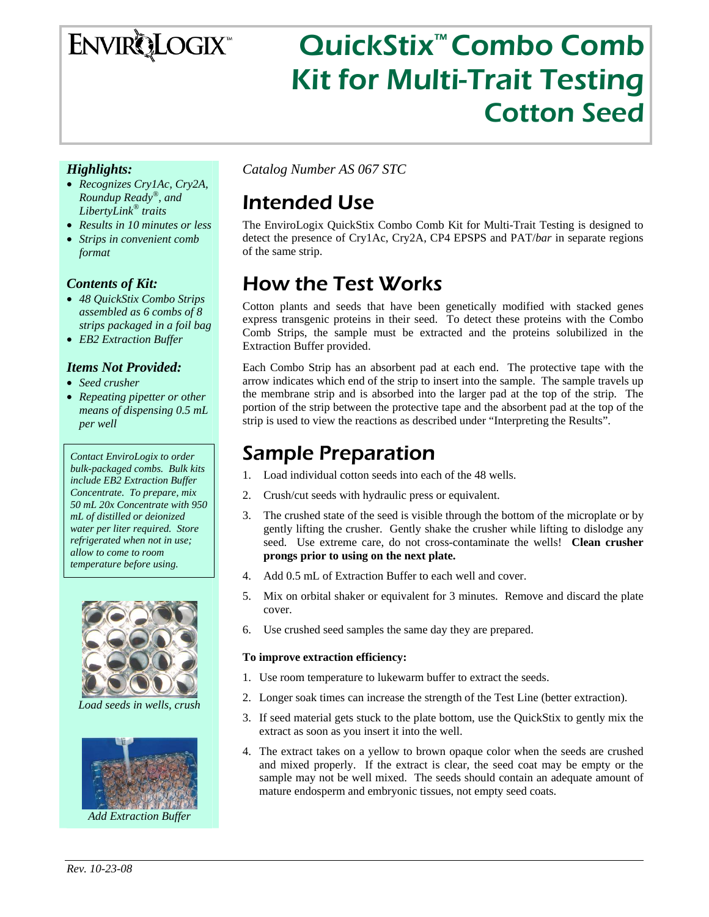## **ENVIRQLOGIX**

# QuickStix™ Combo Comb Kit for Multi-Trait Testing Cotton Seed

#### *Highlights:*

- *Recognizes Cry1Ac, Cry2A, Roundup Ready®, and LibertyLink® traits*
- *Results in 10 minutes or less*
- *Strips in convenient comb format*

#### *Contents of Kit:*

- *48 QuickStix Combo Strips assembled as 6 combs of 8 strips packaged in a foil bag*
- *EB2 Extraction Buffer*

#### *Items Not Provided:*

- *Seed crusher*
- *Repeating pipetter or other means of dispensing 0.5 mL per well*

*Contact EnviroLogix to order bulk-packaged combs. Bulk kits include EB2 Extraction Buffer Concentrate. To prepare, mix 50 mL 20x Concentrate with 950 mL of distilled or deionized water per liter required. Store refrigerated when not in use; allow to come to room temperature before using.* 



*Load seeds in wells, crush* 



*Add Extraction Buffer* 

*Catalog Number AS 067 STC* 

### Intended Use

The EnviroLogix QuickStix Combo Comb Kit for Multi-Trait Testing is designed to detect the presence of Cry1Ac, Cry2A, CP4 EPSPS and PAT/*bar* in separate regions of the same strip.

## How the Test Works

Cotton plants and seeds that have been genetically modified with stacked genes express transgenic proteins in their seed. To detect these proteins with the Combo Comb Strips, the sample must be extracted and the proteins solubilized in the Extraction Buffer provided.

Each Combo Strip has an absorbent pad at each end. The protective tape with the arrow indicates which end of the strip to insert into the sample. The sample travels up the membrane strip and is absorbed into the larger pad at the top of the strip. The portion of the strip between the protective tape and the absorbent pad at the top of the strip is used to view the reactions as described under "Interpreting the Results".

### Sample Preparation

- 1. Load individual cotton seeds into each of the 48 wells.
- 2. Crush/cut seeds with hydraulic press or equivalent.
- 3. The crushed state of the seed is visible through the bottom of the microplate or by gently lifting the crusher. Gently shake the crusher while lifting to dislodge any seed. Use extreme care, do not cross-contaminate the wells! **Clean crusher prongs prior to using on the next plate.**
- 4. Add 0.5 mL of Extraction Buffer to each well and cover.
- 5. Mix on orbital shaker or equivalent for 3 minutes. Remove and discard the plate cover.
- 6. Use crushed seed samples the same day they are prepared.

#### **To improve extraction efficiency:**

- 1. Use room temperature to lukewarm buffer to extract the seeds.
- 2. Longer soak times can increase the strength of the Test Line (better extraction).
- 3. If seed material gets stuck to the plate bottom, use the QuickStix to gently mix the extract as soon as you insert it into the well.
- 4. The extract takes on a yellow to brown opaque color when the seeds are crushed and mixed properly. If the extract is clear, the seed coat may be empty or the sample may not be well mixed. The seeds should contain an adequate amount of mature endosperm and embryonic tissues, not empty seed coats.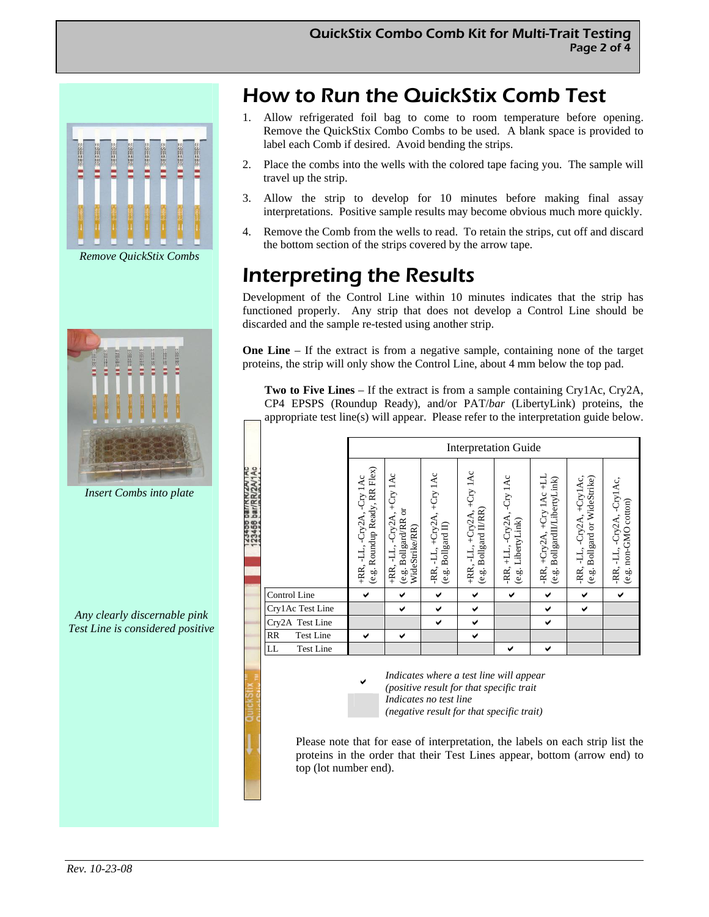

*Remove QuickStix Combs* 



*Insert Combs into plate* 

*Any clearly discernable pink Test Line is considered positive* 

### How to Run the QuickStix Comb Test

- 1. Allow refrigerated foil bag to come to room temperature before opening. Remove the QuickStix Combo Combs to be used. A blank space is provided to label each Comb if desired. Avoid bending the strips.
- 2. Place the combs into the wells with the colored tape facing you. The sample will travel up the strip.
- 3. Allow the strip to develop for 10 minutes before making final assay interpretations. Positive sample results may become obvious much more quickly.
- 4. Remove the Comb from the wells to read. To retain the strips, cut off and discard the bottom section of the strips covered by the arrow tape.

### Interpreting the Results

Development of the Control Line within 10 minutes indicates that the strip has functioned properly. Any strip that does not develop a Control Line should be discarded and the sample re-tested using another strip.

**One Line** – If the extract is from a negative sample, containing none of the target proteins, the strip will only show the Control Line, about 4 mm below the top pad.

**Two to Five Lines** – If the extract is from a sample containing Cry1Ac, Cry2A, CP4 EPSPS (Roundup Ready), and/or PAT/*bar* (LibertyLink) proteins, the appropriate test line(s) will appear. Please refer to the interpretation guide below.

|                      |                        | <b>Interpretation Guide</b>                                       |                                                                                |                                                  |                                                                                         |                                                                |                                                            |                                                                |                                                     |
|----------------------|------------------------|-------------------------------------------------------------------|--------------------------------------------------------------------------------|--------------------------------------------------|-----------------------------------------------------------------------------------------|----------------------------------------------------------------|------------------------------------------------------------|----------------------------------------------------------------|-----------------------------------------------------|
| 123456 bar/RR/2A/1Ac |                        | (e.g. Roundup Ready, RR Flex)<br>-Cry 1Ac<br>-Cry2A,<br>+RR, -LL, | $+Cry$ 1Ac<br>(e.g. Bollgard/RR or<br>-Cry2A,<br>WideStrike/RR)<br>ĻL,<br>+RR, | -RR, -LL, +Cry2A, +Cry 1Ac<br>(e.g. Bollgard II) | $+Cry$ 1Ac<br>Bollgard II/RR)<br>+RR, -LL, +Cry2A,<br>$\overline{6}\cdot\overline{6}$ . | -RR, +LL, -Cry2A, -Cry 1Ac<br>LibertyLink)<br>$\overline{6.9}$ | -RR, +Cry2A, +Cry 1Ac +LI<br>(e.g. BollgardII/LibertyLink) | -RR, -LL, -Cry2A, +Cry1Ac,<br>Bollgard or WideStrike)<br>(e.g. | -RR, -LL, -Cry2A, -Cry1Ac,<br>(e.g. non-GMO cotton) |
|                      | Control Line           | ✔                                                                 | ✔                                                                              | ✔                                                | ✔                                                                                       | ✔                                                              | ✔                                                          | ✔                                                              | ✔                                                   |
|                      | Cry1Ac Test Line       |                                                                   | ✔                                                                              | ✔                                                | ✔                                                                                       |                                                                | ✔                                                          | ✔                                                              |                                                     |
|                      | Cry2A Test Line        |                                                                   |                                                                                | ✔                                                | ✔                                                                                       |                                                                | ✔                                                          |                                                                |                                                     |
|                      | RR<br><b>Test Line</b> | ✔                                                                 | ✔                                                                              |                                                  | ✔                                                                                       |                                                                |                                                            |                                                                |                                                     |
|                      | LL<br><b>Test Line</b> |                                                                   |                                                                                |                                                  |                                                                                         | ✔                                                              | ✔                                                          |                                                                |                                                     |
|                      |                        |                                                                   |                                                                                |                                                  |                                                                                         |                                                                |                                                            |                                                                |                                                     |

Indicates where a test line will appear *(positive result for that specific trait Indicates no test line (negative result for that specific trait)* 

Please note that for ease of interpretation, the labels on each strip list the proteins in the order that their Test Lines appear, bottom (arrow end) to top (lot number end).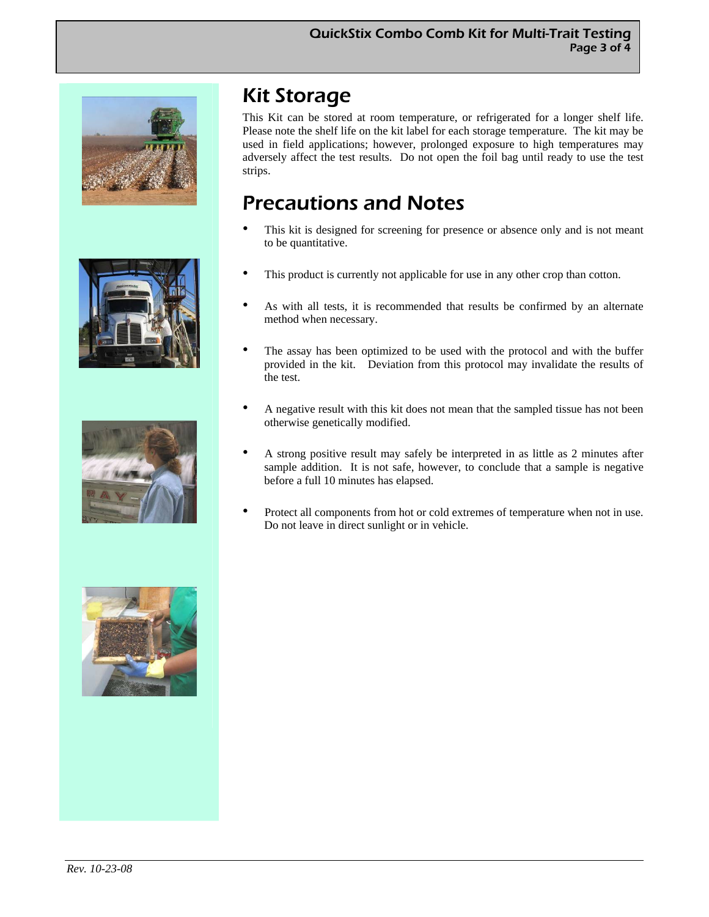







### Kit Storage

This Kit can be stored at room temperature, or refrigerated for a longer shelf life. Please note the shelf life on the kit label for each storage temperature. The kit may be used in field applications; however, prolonged exposure to high temperatures may adversely affect the test results. Do not open the foil bag until ready to use the test strips.

### Precautions and Notes

- This kit is designed for screening for presence or absence only and is not meant to be quantitative.
- This product is currently not applicable for use in any other crop than cotton.
- As with all tests, it is recommended that results be confirmed by an alternate method when necessary.
- The assay has been optimized to be used with the protocol and with the buffer provided in the kit. Deviation from this protocol may invalidate the results of the test.
- A negative result with this kit does not mean that the sampled tissue has not been otherwise genetically modified.
- A strong positive result may safely be interpreted in as little as 2 minutes after sample addition. It is not safe, however, to conclude that a sample is negative before a full 10 minutes has elapsed.
- Protect all components from hot or cold extremes of temperature when not in use. Do not leave in direct sunlight or in vehicle.